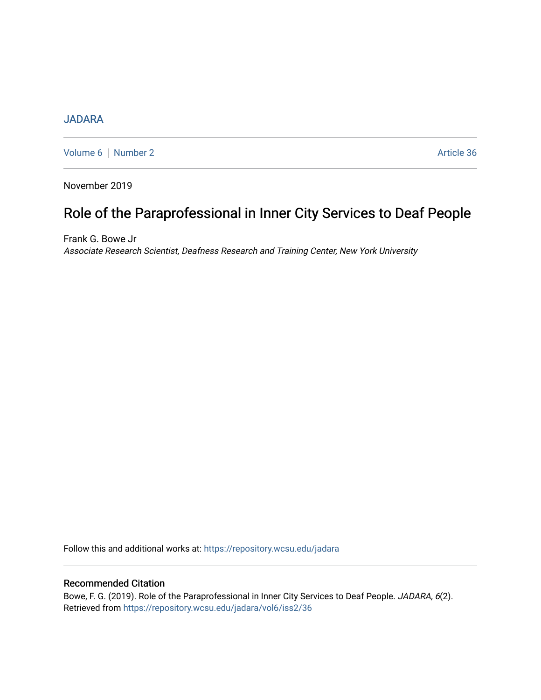## **[JADARA](https://repository.wcsu.edu/jadara)**

[Volume 6](https://repository.wcsu.edu/jadara/vol6) | [Number 2](https://repository.wcsu.edu/jadara/vol6/iss2) Article 36

November 2019

# Role of the Paraprofessional in Inner City Services to Deaf People

Frank G. Bowe Jr Associate Research Scientist, Deafness Research and Training Center, New York University

Follow this and additional works at: [https://repository.wcsu.edu/jadara](https://repository.wcsu.edu/jadara?utm_source=repository.wcsu.edu%2Fjadara%2Fvol6%2Fiss2%2F36&utm_medium=PDF&utm_campaign=PDFCoverPages)

### Recommended Citation

Bowe, F. G. (2019). Role of the Paraprofessional in Inner City Services to Deaf People. JADARA, 6(2). Retrieved from [https://repository.wcsu.edu/jadara/vol6/iss2/36](https://repository.wcsu.edu/jadara/vol6/iss2/36?utm_source=repository.wcsu.edu%2Fjadara%2Fvol6%2Fiss2%2F36&utm_medium=PDF&utm_campaign=PDFCoverPages)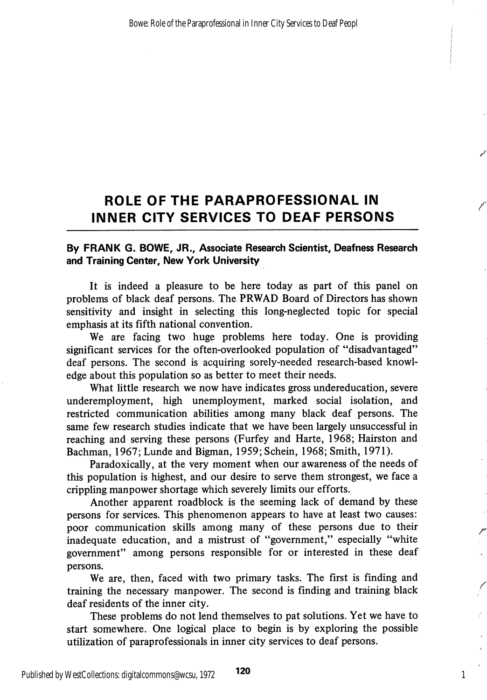# ROLE OF THE PARAPROFESSIONAL IN INNER CITY SERVICES TO DEAF PERSONS

#### By FRANK G. BOWE, JR., Associate Research Scientist, Deafness Research and Training Center, New York University

It is indeed a pleasure to be here today as part of this panel on problems of black deaf persons. The PRWAD Board of Directors has shown sensitivity and insight in selecting this long-neglected topic for special emphasis at its fifth national convention.

We are facing two huge problems here today. One is providing significant services for the often-overlooked population of "disadvantaged" deaf persons. The second is acquiring sorely-needed research-based knowl edge about this population so as better to meet their needs.

What little research we now have indicates gross undereducation, severe underemployment, high unemployment, marked social isolation, and restricted communication abilities among many black deaf persons. The same few research studies indicate that we have been largely unsuccessful in reaching and serving these persons (Furfey and Harte, 1968; Hairston and Bachman, 1967; Lunde and Bigman, 1959; Schein, 1968; Smith, 1971).

Paradoxically, at the very moment when our awareness of the needs of this population is highest, and our desire to serve them strongest, we face a crippling manpower shortage which severely limits our efforts.

Another apparent roadblock is the seeming lack of demand by these persons for services. This phenomenon appears to have at least two causes: poor communication skills among many of these persons due to their inadequate education, and a mistrust of "government," especially "white government" among persons responsible for or interested in these deaf persons.

We are, then, faced with two primary tasks. The first is finding and training the necessary manpower. The second is finding and training black deaf residents of the inner city.

These problems do not lend themselves to pat solutions. Yet we have to start somewhere. One logical place to begin is by exploring the possible utilization of paraprofessionals in inner city services to deaf persons.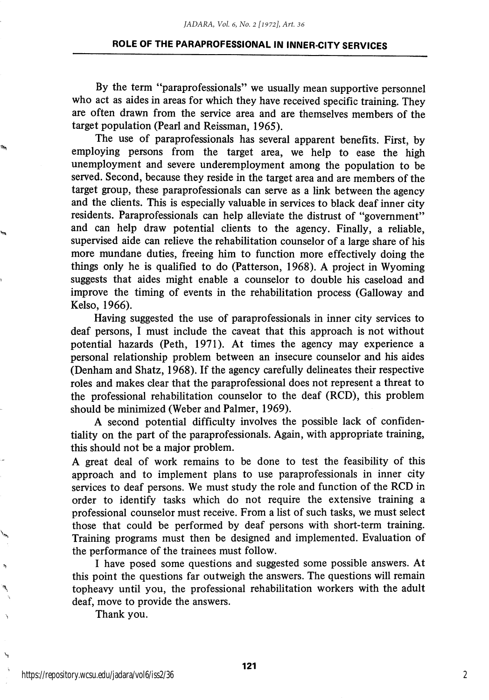#### ROLE OF THE PARAPROFESSIONAL IN INNER-CITY SERVICES

By the term "paraprofessionals" we usually mean supportive personnel who act as aides in areas for which they have received specific training. They are often drawn from the service area and are themselves members of the target population (Pearl and Reissman, 1965).

The use of paraprofessionals has several apparent benefits. First, by employing persons from the target area, we help to ease the high unemployment and severe underemployment among the population to be served. Second, because they reside in the target area and are members of the target group, these paraprofessionals can serve as a link between the agency and the clients. This is especially valuable in services to black deaf inner city residents. Paraprofessionals can help alleviate the distrust of "government" and can help draw potential clients to the agency. Finally, a reliable, supervised aide can relieve the rehabihtation counselor of a large share of his more mundane duties, freeing him to function more effectively doing the things only he is qualified to do (Patterson, 1968). A project in Wyoming suggests that aides might enable a counselor to double his caseload and improve the timing of events in the rehabilitation process (Galloway and Kelso, 1966).

Having suggested the use of paraprofessionals in inner city services to deaf persons, I must include the caveat that this approach is not without potential hazards (Peth, 1971). At times the agency may experience a personal relationship problem between an insecure counselor and his aides (Denham and Shatz, 1968). If the agency carefully delineates their respective roles and makes clear that the paraprofessional does not represent a threat to the professional rehabilitation counselor to the deaf (RCD), this problem should be minimized (Weber and Palmer, 1969).

A second potential difficulty involves the possible lack of confiden tiality on the part of the paraprofessionals. Again, with appropriate training, this should not be a major problem.

A great deal of work remains to be done to test the feasibility of this approach and to implement plans to use paraprofessionals in inner city services to deaf persons. We must study the role and function of the RCD in order to identify tasks which do not require the extensive training a professional counselor must receive. From a list of such tasks, we must select those that could be performed by deaf persons with short-term training. Training programs must then be designed and implemented. Evaluation of the performance of the trainees must follow.

I have posed some questions and suggested some possible answers. At this point the questions far outweigh the answers. The questions will remain topheavy until you, the professional rehabilitation workers with the adult deaf, move to provide the answers.

Thank you.

 $\hat{\mathbf{z}}$ 

۱

2